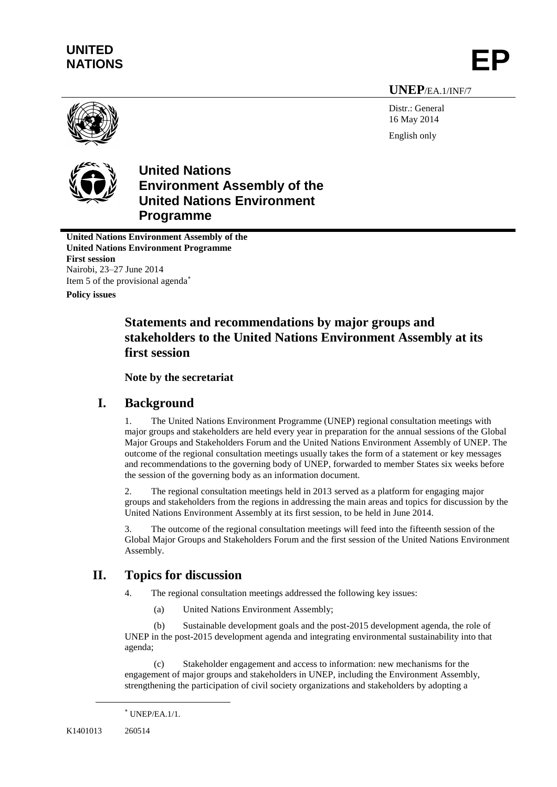# **UNITED** UNITED<br>NATIONS **EP**

# **UNEP**/EA.1/INF/7

Distr.: General 16 May 2014 English only



**United Nations Environment Assembly of the United Nations Environment Programme**

**United Nations Environment Assembly of the United Nations Environment Programme First session** Nairobi, 23–27 June 2014 Item 5 of the provisional agenda

**Policy issues**

# **Statements and recommendations by major groups and stakeholders to the United Nations Environment Assembly at its first session**

# **Note by the secretariat**

# **I. Background**

1. The United Nations Environment Programme (UNEP) regional consultation meetings with major groups and stakeholders are held every year in preparation for the annual sessions of the Global Major Groups and Stakeholders Forum and the United Nations Environment Assembly of UNEP. The outcome of the regional consultation meetings usually takes the form of a statement or key messages and recommendations to the governing body of UNEP, forwarded to member States six weeks before the session of the governing body as an information document.

2. The regional consultation meetings held in 2013 served as a platform for engaging major groups and stakeholders from the regions in addressing the main areas and topics for discussion by the United Nations Environment Assembly at its first session, to be held in June 2014.

3. The outcome of the regional consultation meetings will feed into the fifteenth session of the Global Major Groups and Stakeholders Forum and the first session of the United Nations Environment Assembly.

# **II. Topics for discussion**

4. The regional consultation meetings addressed the following key issues:

(a) United Nations Environment Assembly;

(b) Sustainable development goals and the post-2015 development agenda, the role of UNEP in the post-2015 development agenda and integrating environmental sustainability into that agenda;

(c) Stakeholder engagement and access to information: new mechanisms for the engagement of major groups and stakeholders in UNEP, including the Environment Assembly, strengthening the participation of civil society organizations and stakeholders by adopting a

l

 $*$  UNEP/EA.1/1.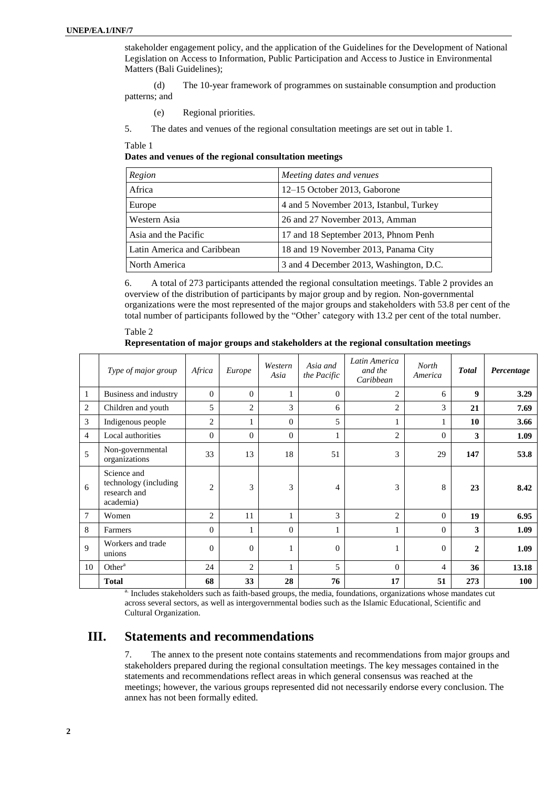stakeholder engagement policy, and the application of the Guidelines for the Development of National Legislation on Access to Information, Public Participation and Access to Justice in Environmental Matters (Bali Guidelines);

(d) The 10-year framework of programmes on sustainable consumption and production patterns; and

(e) Regional priorities.

5. The dates and venues of the regional consultation meetings are set out in table 1.

Table 1

**Dates and venues of the regional consultation meetings**

| Region                      | Meeting dates and venues                |
|-----------------------------|-----------------------------------------|
| Africa                      | 12–15 October 2013, Gaborone            |
| Europe                      | 4 and 5 November 2013, Istanbul, Turkey |
| Western Asia                | 26 and 27 November 2013, Amman          |
| Asia and the Pacific        | 17 and 18 September 2013, Phnom Penh    |
| Latin America and Caribbean | 18 and 19 November 2013, Panama City    |
| North America               | 3 and 4 December 2013, Washington, D.C. |

6. A total of 273 participants attended the regional consultation meetings. Table 2 provides an overview of the distribution of participants by major group and by region. Non-governmental organizations were the most represented of the major groups and stakeholders with 53.8 per cent of the total number of participants followed by the "Other' category with 13.2 per cent of the total number.

Table 2 **Representation of major groups and stakeholders at the regional consultation meetings**

|                | Type of major group                                               | Africa         | Europe         | Western<br>Asia | Asia and<br>the Pacific | Latin America<br>and the<br>Caribbean | North<br>America | <b>Total</b>     | Percentage |
|----------------|-------------------------------------------------------------------|----------------|----------------|-----------------|-------------------------|---------------------------------------|------------------|------------------|------------|
| 1              | Business and industry                                             | $\Omega$       | $\theta$       |                 | $\mathbf{0}$            | $\overline{c}$                        | 6                | $\boldsymbol{9}$ | 3.29       |
| 2              | Children and youth                                                | 5              | $\overline{2}$ | 3               | 6                       | $\overline{c}$                        | 3                | 21               | 7.69       |
| 3              | Indigenous people                                                 | 2              | 1              | $\overline{0}$  | 5                       |                                       |                  | 10               | 3.66       |
| 4              | Local authorities                                                 | $\Omega$       | $\Omega$       | $\overline{0}$  | 1                       | $\overline{c}$                        | $\Omega$         | 3                | 1.09       |
| 5              | Non-governmental<br>organizations                                 | 33             | 13             | 18              | 51                      | 3                                     | 29               | 147              | 53.8       |
| 6              | Science and<br>technology (including<br>research and<br>academia) | $\overline{2}$ | 3              | 3               | 4                       | 3                                     | 8                | 23               | 8.42       |
| $\overline{7}$ | Women                                                             | $\overline{2}$ | 11             |                 | 3                       | $\overline{c}$                        | $\Omega$         | 19               | 6.95       |
| 8              | Farmers                                                           | $\theta$       | 1              | $\overline{0}$  | 1                       |                                       | $\Omega$         | 3                | 1.09       |
| 9              | Workers and trade<br>unions                                       | $\Omega$       | $\mathbf{0}$   | п               | $\mathbf{0}$            |                                       | $\Omega$         | $\overline{2}$   | 1.09       |
| 10             | Other <sup>a</sup>                                                | 24             | $\overline{2}$ |                 | 5                       | $\theta$                              | $\overline{4}$   | 36               | 13.18      |
|                | <b>Total</b>                                                      | 68             | 33             | 28              | 76                      | 17                                    | 51               | 273              | <b>100</b> |

Includes stakeholders such as faith-based groups, the media, foundations, organizations whose mandates cut across several sectors, as well as intergovernmental bodies such as the Islamic Educational, Scientific and Cultural Organization.

# **III. Statements and recommendations**

7. The annex to the present note contains statements and recommendations from major groups and stakeholders prepared during the regional consultation meetings. The key messages contained in the statements and recommendations reflect areas in which general consensus was reached at the meetings; however, the various groups represented did not necessarily endorse every conclusion. The annex has not been formally edited.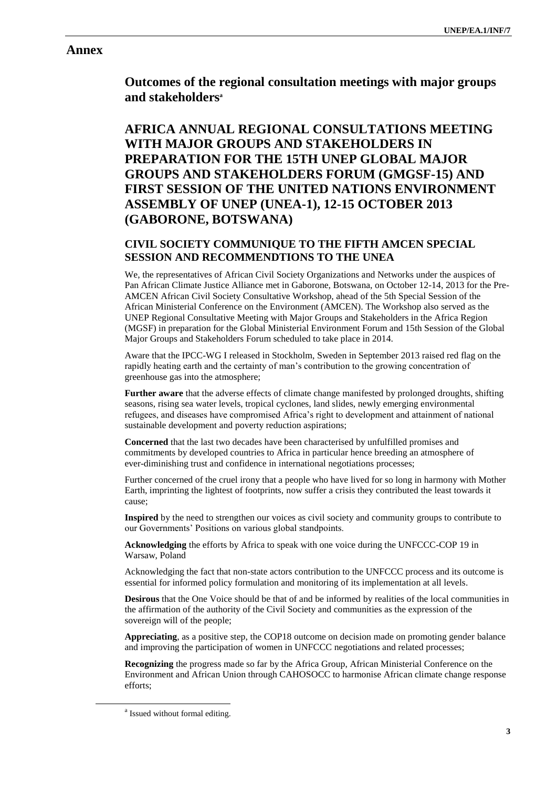# **Annex**

**Outcomes of the regional consultation meetings with major groups and stakeholders<sup>a</sup>**

# **AFRICA ANNUAL REGIONAL CONSULTATIONS MEETING WITH MAJOR GROUPS AND STAKEHOLDERS IN PREPARATION FOR THE 15TH UNEP GLOBAL MAJOR GROUPS AND STAKEHOLDERS FORUM (GMGSF-15) AND FIRST SESSION OF THE UNITED NATIONS ENVIRONMENT ASSEMBLY OF UNEP (UNEA-1), 12-15 OCTOBER 2013 (GABORONE, BOTSWANA)**

# **CIVIL SOCIETY COMMUNIQUE TO THE FIFTH AMCEN SPECIAL SESSION AND RECOMMENDTIONS TO THE UNEA**

We, the representatives of African Civil Society Organizations and Networks under the auspices of Pan African Climate Justice Alliance met in Gaborone, Botswana, on October 12-14, 2013 for the Pre-AMCEN African Civil Society Consultative Workshop, ahead of the 5th Special Session of the African Ministerial Conference on the Environment (AMCEN). The Workshop also served as the UNEP Regional Consultative Meeting with Major Groups and Stakeholders in the Africa Region (MGSF) in preparation for the Global Ministerial Environment Forum and 15th Session of the Global Major Groups and Stakeholders Forum scheduled to take place in 2014.

Aware that the IPCC-WG I released in Stockholm, Sweden in September 2013 raised red flag on the rapidly heating earth and the certainty of man's contribution to the growing concentration of greenhouse gas into the atmosphere;

**Further aware** that the adverse effects of climate change manifested by prolonged droughts, shifting seasons, rising sea water levels, tropical cyclones, land slides, newly emerging environmental refugees, and diseases have compromised Africa's right to development and attainment of national sustainable development and poverty reduction aspirations;

**Concerned** that the last two decades have been characterised by unfulfilled promises and commitments by developed countries to Africa in particular hence breeding an atmosphere of ever-diminishing trust and confidence in international negotiations processes;

Further concerned of the cruel irony that a people who have lived for so long in harmony with Mother Earth, imprinting the lightest of footprints, now suffer a crisis they contributed the least towards it cause;

**Inspired** by the need to strengthen our voices as civil society and community groups to contribute to our Governments' Positions on various global standpoints.

**Acknowledging** the efforts by Africa to speak with one voice during the UNFCCC-COP 19 in Warsaw, Poland

Acknowledging the fact that non-state actors contribution to the UNFCCC process and its outcome is essential for informed policy formulation and monitoring of its implementation at all levels.

**Desirous** that the One Voice should be that of and be informed by realities of the local communities in the affirmation of the authority of the Civil Society and communities as the expression of the sovereign will of the people;

**Appreciating**, as a positive step, the COP18 outcome on decision made on promoting gender balance and improving the participation of women in UNFCCC negotiations and related processes;

**Recognizing** the progress made so far by the Africa Group, African Ministerial Conference on the Environment and African Union through CAHOSOCC to harmonise African climate change response efforts;

 $\overline{a}$ 

<sup>&</sup>lt;sup>a</sup> Issued without formal editing.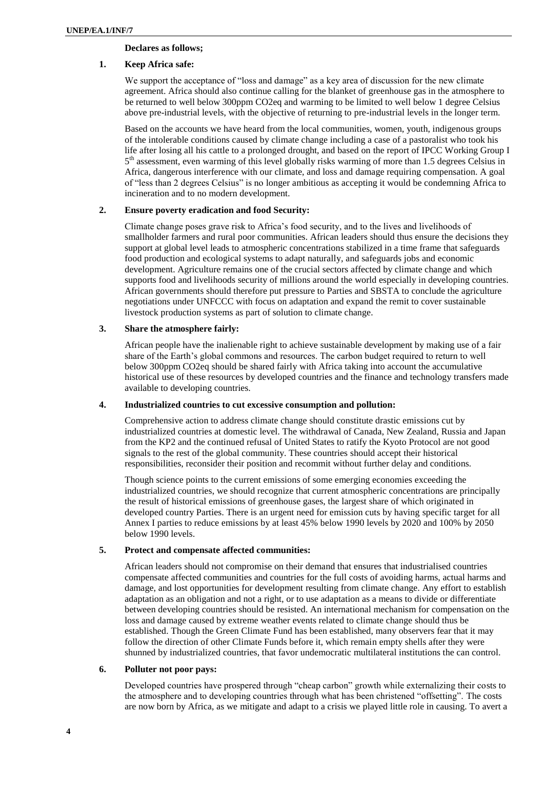## **Declares as follows;**

## **1. Keep Africa safe:**

We support the acceptance of "loss and damage" as a key area of discussion for the new climate agreement. Africa should also continue calling for the blanket of greenhouse gas in the atmosphere to be returned to well below 300ppm CO2eq and warming to be limited to well below 1 degree Celsius above pre-industrial levels, with the objective of returning to pre-industrial levels in the longer term.

Based on the accounts we have heard from the local communities, women, youth, indigenous groups of the intolerable conditions caused by climate change including a case of a pastoralist who took his life after losing all his cattle to a prolonged drought, and based on the report of IPCC Working Group I 5<sup>th</sup> assessment, even warming of this level globally risks warming of more than 1.5 degrees Celsius in Africa, dangerous interference with our climate, and loss and damage requiring compensation. A goal of "less than 2 degrees Celsius" is no longer ambitious as accepting it would be condemning Africa to incineration and to no modern development.

## **2. Ensure poverty eradication and food Security:**

Climate change poses grave risk to Africa's food security, and to the lives and livelihoods of smallholder farmers and rural poor communities. African leaders should thus ensure the decisions they support at global level leads to atmospheric concentrations stabilized in a time frame that safeguards food production and ecological systems to adapt naturally, and safeguards jobs and economic development. Agriculture remains one of the crucial sectors affected by climate change and which supports food and livelihoods security of millions around the world especially in developing countries. African governments should therefore put pressure to Parties and SBSTA to conclude the agriculture negotiations under UNFCCC with focus on adaptation and expand the remit to cover sustainable livestock production systems as part of solution to climate change.

### **3. Share the atmosphere fairly:**

African people have the inalienable right to achieve sustainable development by making use of a fair share of the Earth's global commons and resources. The carbon budget required to return to well below 300ppm CO2eq should be shared fairly with Africa taking into account the accumulative historical use of these resources by developed countries and the finance and technology transfers made available to developing countries.

### **4. Industrialized countries to cut excessive consumption and pollution:**

Comprehensive action to address climate change should constitute drastic emissions cut by industrialized countries at domestic level. The withdrawal of Canada, New Zealand, Russia and Japan from the KP2 and the continued refusal of United States to ratify the Kyoto Protocol are not good signals to the rest of the global community. These countries should accept their historical responsibilities, reconsider their position and recommit without further delay and conditions.

Though science points to the current emissions of some emerging economies exceeding the industrialized countries, we should recognize that current atmospheric concentrations are principally the result of historical emissions of greenhouse gases, the largest share of which originated in developed country Parties. There is an urgent need for emission cuts by having specific target for all Annex I parties to reduce emissions by at least 45% below 1990 levels by 2020 and 100% by 2050 below 1990 levels.

#### **5. Protect and compensate affected communities:**

African leaders should not compromise on their demand that ensures that industrialised countries compensate affected communities and countries for the full costs of avoiding harms, actual harms and damage, and lost opportunities for development resulting from climate change. Any effort to establish adaptation as an obligation and not a right, or to use adaptation as a means to divide or differentiate between developing countries should be resisted. An international mechanism for compensation on the loss and damage caused by extreme weather events related to climate change should thus be established. Though the Green Climate Fund has been established, many observers fear that it may follow the direction of other Climate Funds before it, which remain empty shells after they were shunned by industrialized countries, that favor undemocratic multilateral institutions the can control.

#### **6. Polluter not poor pays:**

Developed countries have prospered through "cheap carbon" growth while externalizing their costs to the atmosphere and to developing countries through what has been christened "offsetting". The costs are now born by Africa, as we mitigate and adapt to a crisis we played little role in causing. To avert a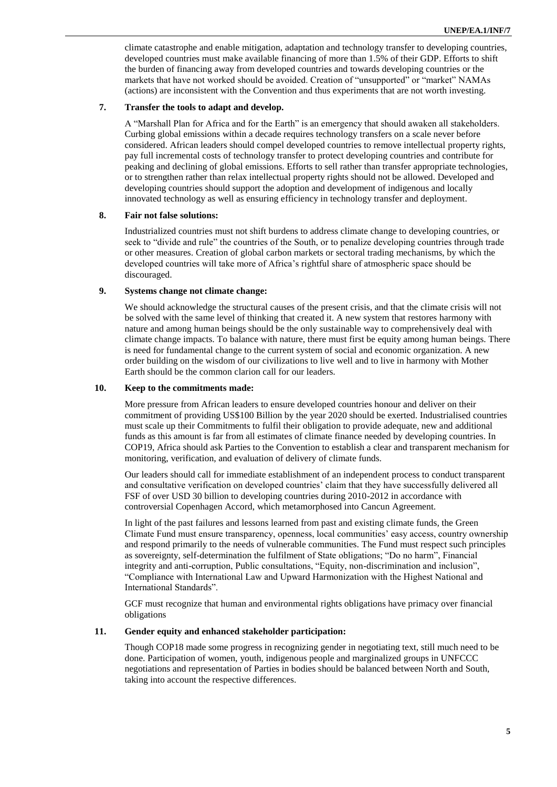climate catastrophe and enable mitigation, adaptation and technology transfer to developing countries, developed countries must make available financing of more than 1.5% of their GDP. Efforts to shift the burden of financing away from developed countries and towards developing countries or the markets that have not worked should be avoided. Creation of "unsupported" or "market" NAMAs (actions) are inconsistent with the Convention and thus experiments that are not worth investing.

### **7. Transfer the tools to adapt and develop.**

A "Marshall Plan for Africa and for the Earth" is an emergency that should awaken all stakeholders. Curbing global emissions within a decade requires technology transfers on a scale never before considered. African leaders should compel developed countries to remove intellectual property rights, pay full incremental costs of technology transfer to protect developing countries and contribute for peaking and declining of global emissions. Efforts to sell rather than transfer appropriate technologies, or to strengthen rather than relax intellectual property rights should not be allowed. Developed and developing countries should support the adoption and development of indigenous and locally innovated technology as well as ensuring efficiency in technology transfer and deployment.

#### **8. Fair not false solutions:**

Industrialized countries must not shift burdens to address climate change to developing countries, or seek to "divide and rule" the countries of the South, or to penalize developing countries through trade or other measures. Creation of global carbon markets or sectoral trading mechanisms, by which the developed countries will take more of Africa's rightful share of atmospheric space should be discouraged.

## **9. Systems change not climate change:**

We should acknowledge the structural causes of the present crisis, and that the climate crisis will not be solved with the same level of thinking that created it. A new system that restores harmony with nature and among human beings should be the only sustainable way to comprehensively deal with climate change impacts. To balance with nature, there must first be equity among human beings. There is need for fundamental change to the current system of social and economic organization. A new order building on the wisdom of our civilizations to live well and to live in harmony with Mother Earth should be the common clarion call for our leaders.

#### **10. Keep to the commitments made:**

More pressure from African leaders to ensure developed countries honour and deliver on their commitment of providing US\$100 Billion by the year 2020 should be exerted. Industrialised countries must scale up their Commitments to fulfil their obligation to provide adequate, new and additional funds as this amount is far from all estimates of climate finance needed by developing countries. In COP19, Africa should ask Parties to the Convention to establish a clear and transparent mechanism for monitoring, verification, and evaluation of delivery of climate funds.

Our leaders should call for immediate establishment of an independent process to conduct transparent and consultative verification on developed countries' claim that they have successfully delivered all FSF of over USD 30 billion to developing countries during 2010-2012 in accordance with controversial Copenhagen Accord, which metamorphosed into Cancun Agreement.

In light of the past failures and lessons learned from past and existing climate funds, the Green Climate Fund must ensure transparency, openness, local communities' easy access, country ownership and respond primarily to the needs of vulnerable communities. The Fund must respect such principles as sovereignty, self-determination the fulfilment of State obligations; "Do no harm", Financial integrity and anti-corruption, Public consultations, "Equity, non-discrimination and inclusion", "Compliance with International Law and Upward Harmonization with the Highest National and International Standards".

GCF must recognize that human and environmental rights obligations have primacy over financial obligations

### **11. Gender equity and enhanced stakeholder participation:**

Though COP18 made some progress in recognizing gender in negotiating text, still much need to be done. Participation of women, youth, indigenous people and marginalized groups in UNFCCC negotiations and representation of Parties in bodies should be balanced between North and South, taking into account the respective differences.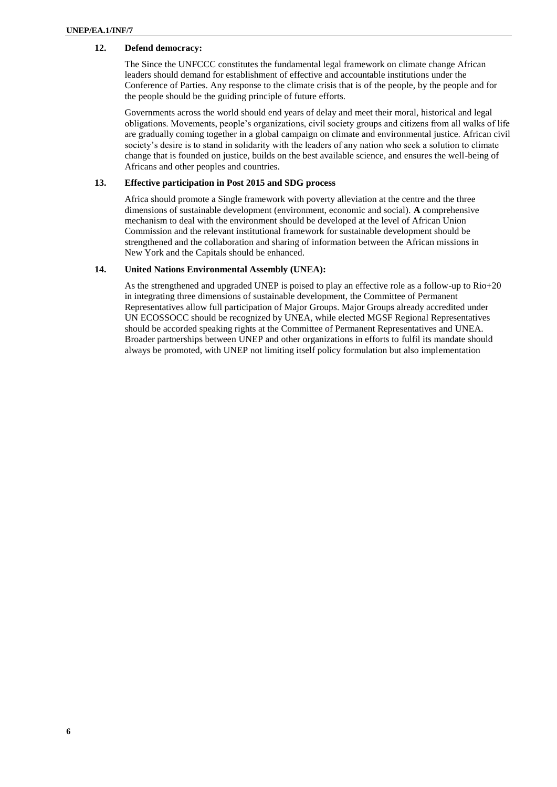# **12. Defend democracy:**

The Since the UNFCCC constitutes the fundamental legal framework on climate change African leaders should demand for establishment of effective and accountable institutions under the Conference of Parties. Any response to the climate crisis that is of the people, by the people and for the people should be the guiding principle of future efforts.

Governments across the world should end years of delay and meet their moral, historical and legal obligations. Movements, people's organizations, civil society groups and citizens from all walks of life are gradually coming together in a global campaign on climate and environmental justice. African civil society's desire is to stand in solidarity with the leaders of any nation who seek a solution to climate change that is founded on justice, builds on the best available science, and ensures the well-being of Africans and other peoples and countries.

### **13. Effective participation in Post 2015 and SDG process**

Africa should promote a Single framework with poverty alleviation at the centre and the three dimensions of sustainable development (environment, economic and social). **A** comprehensive mechanism to deal with the environment should be developed at the level of African Union Commission and the relevant institutional framework for sustainable development should be strengthened and the collaboration and sharing of information between the African missions in New York and the Capitals should be enhanced.

### **14. United Nations Environmental Assembly (UNEA):**

As the strengthened and upgraded UNEP is poised to play an effective role as a follow-up to Rio+20 in integrating three dimensions of sustainable development, the Committee of Permanent Representatives allow full participation of Major Groups. Major Groups already accredited under UN ECOSSOCC should be recognized by UNEA, while elected MGSF Regional Representatives should be accorded speaking rights at the Committee of Permanent Representatives and UNEA. Broader partnerships between UNEP and other organizations in efforts to fulfil its mandate should always be promoted, with UNEP not limiting itself policy formulation but also implementation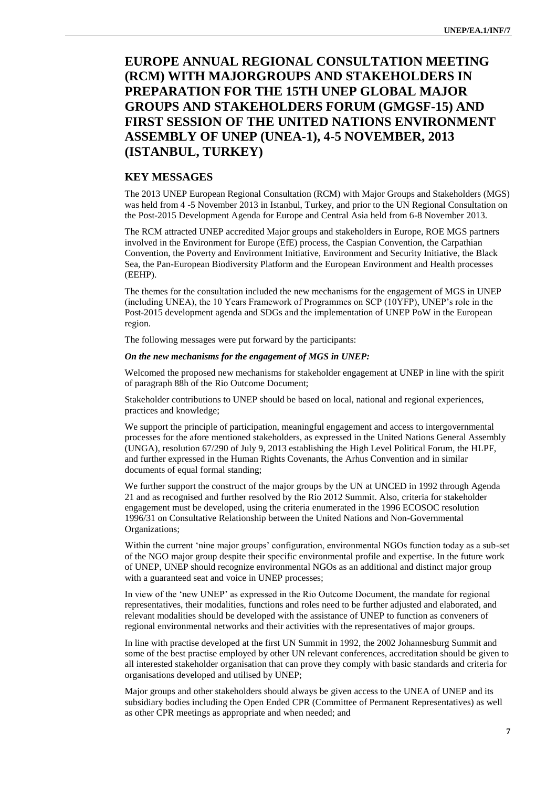# **EUROPE ANNUAL REGIONAL CONSULTATION MEETING (RCM) WITH MAJORGROUPS AND STAKEHOLDERS IN PREPARATION FOR THE 15TH UNEP GLOBAL MAJOR GROUPS AND STAKEHOLDERS FORUM (GMGSF-15) AND FIRST SESSION OF THE UNITED NATIONS ENVIRONMENT ASSEMBLY OF UNEP (UNEA-1), 4-5 NOVEMBER, 2013 (ISTANBUL, TURKEY)**

# **KEY MESSAGES**

The 2013 UNEP European Regional Consultation (RCM) with Major Groups and Stakeholders (MGS) was held from 4 -5 November 2013 in Istanbul, Turkey, and prior to the UN Regional Consultation on the Post-2015 Development Agenda for Europe and Central Asia held from 6-8 November 2013.

The RCM attracted UNEP accredited Major groups and stakeholders in Europe, ROE MGS partners involved in the Environment for Europe (EfE) process, the Caspian Convention, the Carpathian Convention, the Poverty and Environment Initiative, Environment and Security Initiative, the Black Sea, the Pan-European Biodiversity Platform and the European Environment and Health processes (EEHP).

The themes for the consultation included the new mechanisms for the engagement of MGS in UNEP (including UNEA), the 10 Years Framework of Programmes on SCP (10YFP), UNEP's role in the Post-2015 development agenda and SDGs and the implementation of UNEP PoW in the European region.

The following messages were put forward by the participants:

#### *On the new mechanisms for the engagement of MGS in UNEP:*

Welcomed the proposed new mechanisms for stakeholder engagement at UNEP in line with the spirit of paragraph 88h of the Rio Outcome Document;

Stakeholder contributions to UNEP should be based on local, national and regional experiences, practices and knowledge;

We support the principle of participation, meaningful engagement and access to intergovernmental processes for the afore mentioned stakeholders, as expressed in the United Nations General Assembly (UNGA), resolution 67/290 of July 9, 2013 establishing the High Level Political Forum, the HLPF, and further expressed in the Human Rights Covenants, the Arhus Convention and in similar documents of equal formal standing;

We further support the construct of the major groups by the UN at UNCED in 1992 through Agenda 21 and as recognised and further resolved by the Rio 2012 Summit. Also, criteria for stakeholder engagement must be developed, using the criteria enumerated in the 1996 ECOSOC resolution 1996/31 on Consultative Relationship between the United Nations and Non-Governmental Organizations;

Within the current 'nine major groups' configuration, environmental NGOs function today as a sub-set of the NGO major group despite their specific environmental profile and expertise. In the future work of UNEP, UNEP should recognize environmental NGOs as an additional and distinct major group with a guaranteed seat and voice in UNEP processes;

In view of the 'new UNEP' as expressed in the Rio Outcome Document, the mandate for regional representatives, their modalities, functions and roles need to be further adjusted and elaborated, and relevant modalities should be developed with the assistance of UNEP to function as conveners of regional environmental networks and their activities with the representatives of major groups.

In line with practise developed at the first UN Summit in 1992, the 2002 Johannesburg Summit and some of the best practise employed by other UN relevant conferences, accreditation should be given to all interested stakeholder organisation that can prove they comply with basic standards and criteria for organisations developed and utilised by UNEP;

Major groups and other stakeholders should always be given access to the UNEA of UNEP and its subsidiary bodies including the Open Ended CPR (Committee of Permanent Representatives) as well as other CPR meetings as appropriate and when needed; and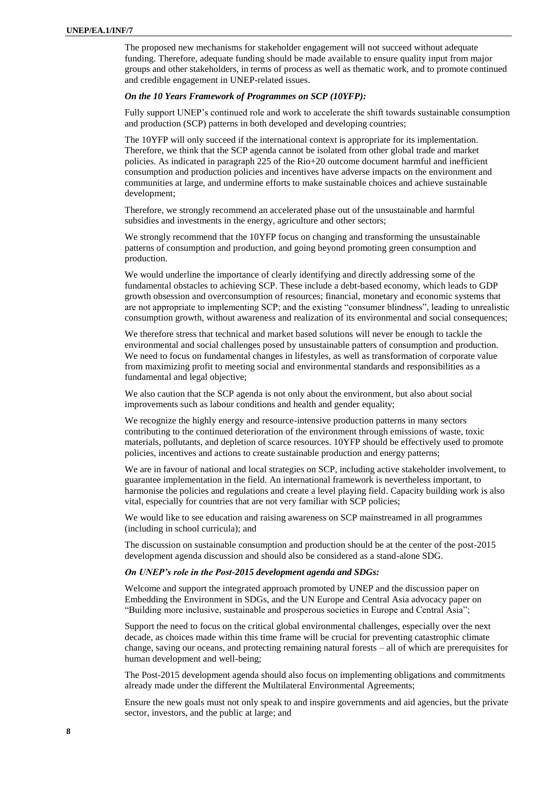The proposed new mechanisms for stakeholder engagement will not succeed without adequate funding. Therefore, adequate funding should be made available to ensure quality input from major groups and other stakeholders, in terms of process as well as thematic work, and to promote continued and credible engagement in UNEP-related issues.

#### *On the 10 Years Framework of Programmes on SCP (10YFP):*

Fully support UNEP's continued role and work to accelerate the shift towards sustainable consumption and production (SCP) patterns in both developed and developing countries;

The 10YFP will only succeed if the international context is appropriate for its implementation. Therefore, we think that the SCP agenda cannot be isolated from other global trade and market policies. As indicated in paragraph 225 of the Rio+20 outcome document harmful and inefficient consumption and production policies and incentives have adverse impacts on the environment and communities at large, and undermine efforts to make sustainable choices and achieve sustainable development;

Therefore, we strongly recommend an accelerated phase out of the unsustainable and harmful subsidies and investments in the energy, agriculture and other sectors;

We strongly recommend that the 10YFP focus on changing and transforming the unsustainable patterns of consumption and production, and going beyond promoting green consumption and production.

We would underline the importance of clearly identifying and directly addressing some of the fundamental obstacles to achieving SCP. These include a debt-based economy, which leads to GDP growth obsession and overconsumption of resources; financial, monetary and economic systems that are not appropriate to implementing SCP; and the existing "consumer blindness", leading to unrealistic consumption growth, without awareness and realization of its environmental and social consequences;

We therefore stress that technical and market based solutions will never be enough to tackle the environmental and social challenges posed by unsustainable patters of consumption and production. We need to focus on fundamental changes in lifestyles, as well as transformation of corporate value from maximizing profit to meeting social and environmental standards and responsibilities as a fundamental and legal objective;

We also caution that the SCP agenda is not only about the environment, but also about social improvements such as labour conditions and health and gender equality;

We recognize the highly energy and resource-intensive production patterns in many sectors contributing to the continued deterioration of the environment through emissions of waste, toxic materials, pollutants, and depletion of scarce resources. 10YFP should be effectively used to promote policies, incentives and actions to create sustainable production and energy patterns;

We are in favour of national and local strategies on SCP, including active stakeholder involvement, to guarantee implementation in the field. An international framework is nevertheless important, to harmonise the policies and regulations and create a level playing field. Capacity building work is also vital, especially for countries that are not very familiar with SCP policies;

We would like to see education and raising awareness on SCP mainstreamed in all programmes (including in school curricula); and

The discussion on sustainable consumption and production should be at the center of the post-2015 development agenda discussion and should also be considered as a stand-alone SDG.

#### *On UNEP's role in the Post-2015 development agenda and SDGs:*

Welcome and support the integrated approach promoted by UNEP and the discussion paper on Embedding the Environment in SDGs, and the UN Europe and Central Asia advocacy paper on "Building more inclusive, sustainable and prosperous societies in Europe and Central Asia";

Support the need to focus on the critical global environmental challenges, especially over the next decade, as choices made within this time frame will be crucial for preventing catastrophic climate change, saving our oceans, and protecting remaining natural forests – all of which are prerequisites for human development and well-being;

The Post-2015 development agenda should also focus on implementing obligations and commitments already made under the different the Multilateral Environmental Agreements;

Ensure the new goals must not only speak to and inspire governments and aid agencies, but the private sector, investors, and the public at large; and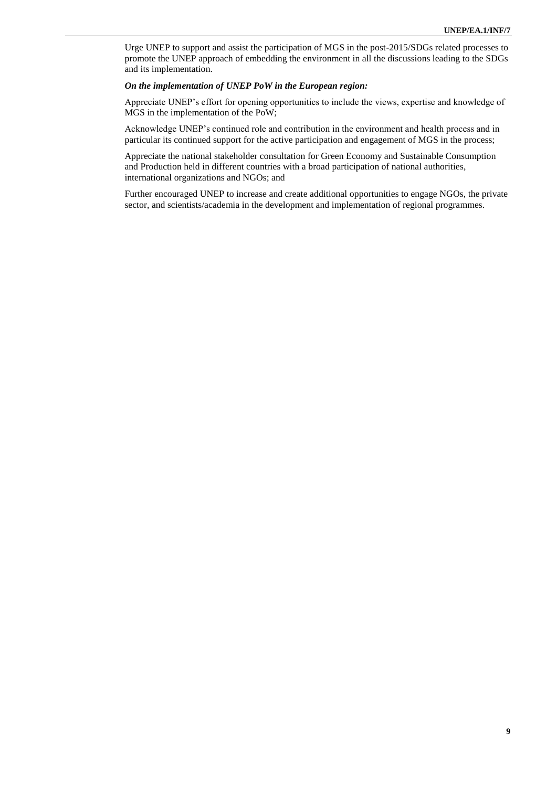Urge UNEP to support and assist the participation of MGS in the post-2015/SDGs related processes to promote the UNEP approach of embedding the environment in all the discussions leading to the SDGs and its implementation.

## *On the implementation of UNEP PoW in the European region:*

Appreciate UNEP's effort for opening opportunities to include the views, expertise and knowledge of MGS in the implementation of the PoW;

Acknowledge UNEP's continued role and contribution in the environment and health process and in particular its continued support for the active participation and engagement of MGS in the process;

Appreciate the national stakeholder consultation for Green Economy and Sustainable Consumption and Production held in different countries with a broad participation of national authorities, international organizations and NGOs; and

Further encouraged UNEP to increase and create additional opportunities to engage NGOs, the private sector, and scientists/academia in the development and implementation of regional programmes.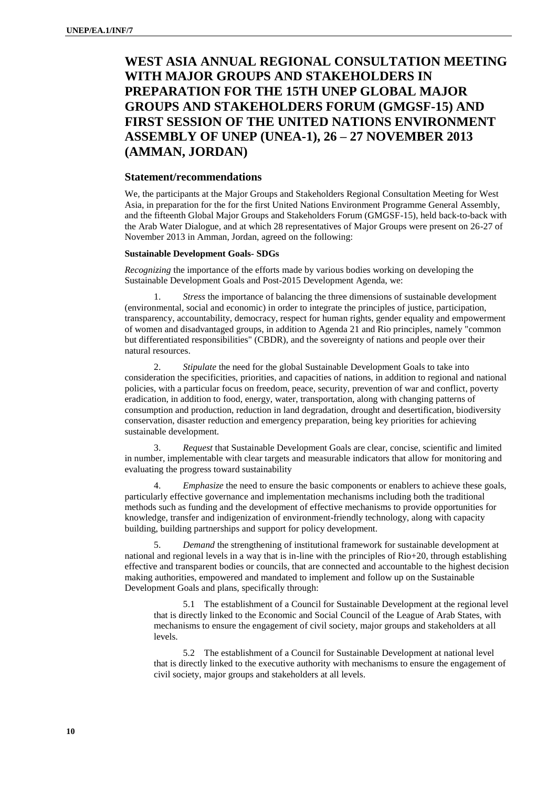# **WEST ASIA ANNUAL REGIONAL CONSULTATION MEETING WITH MAJOR GROUPS AND STAKEHOLDERS IN PREPARATION FOR THE 15TH UNEP GLOBAL MAJOR GROUPS AND STAKEHOLDERS FORUM (GMGSF-15) AND FIRST SESSION OF THE UNITED NATIONS ENVIRONMENT ASSEMBLY OF UNEP (UNEA-1), 26 – 27 NOVEMBER 2013 (AMMAN, JORDAN)**

## **Statement/recommendations**

We, the participants at the Major Groups and Stakeholders Regional Consultation Meeting for West Asia, in preparation for the for the first United Nations Environment Programme General Assembly, and the fifteenth Global Major Groups and Stakeholders Forum (GMGSF-15), held back-to-back with the Arab Water Dialogue, and at which 28 representatives of Major Groups were present on 26-27 of November 2013 in Amman, Jordan, agreed on the following:

#### **Sustainable Development Goals- SDGs**

*Recognizing* the importance of the efforts made by various bodies working on developing the Sustainable Development Goals and Post-2015 Development Agenda, we:

1. *Stress* the importance of balancing the three dimensions of sustainable development (environmental, social and economic) in order to integrate the principles of justice, participation, transparency, accountability, democracy, respect for human rights, gender equality and empowerment of women and disadvantaged groups, in addition to Agenda 21 and Rio principles, namely "common but differentiated responsibilities" (CBDR), and the sovereignty of nations and people over their natural resources.

2. *Stipulate* the need for the global Sustainable Development Goals to take into consideration the specificities, priorities, and capacities of nations, in addition to regional and national policies, with a particular focus on freedom, peace, security, prevention of war and conflict, poverty eradication, in addition to food, energy, water, transportation, along with changing patterns of consumption and production, reduction in land degradation, drought and desertification, biodiversity conservation, disaster reduction and emergency preparation, being key priorities for achieving sustainable development.

3. *Request* that Sustainable Development Goals are clear, concise, scientific and limited in number, implementable with clear targets and measurable indicators that allow for monitoring and evaluating the progress toward sustainability

4. *Emphasize* the need to ensure the basic components or enablers to achieve these goals, particularly effective governance and implementation mechanisms including both the traditional methods such as funding and the development of effective mechanisms to provide opportunities for knowledge, transfer and indigenization of environment-friendly technology, along with capacity building, building partnerships and support for policy development.

5. *Demand* the strengthening of institutional framework for sustainable development at national and regional levels in a way that is in-line with the principles of Rio+20, through establishing effective and transparent bodies or councils, that are connected and accountable to the highest decision making authorities, empowered and mandated to implement and follow up on the Sustainable Development Goals and plans, specifically through:

5.1 The establishment of a Council for Sustainable Development at the regional level that is directly linked to the Economic and Social Council of the League of Arab States, with mechanisms to ensure the engagement of civil society, major groups and stakeholders at all levels.

5.2 The establishment of a Council for Sustainable Development at national level that is directly linked to the executive authority with mechanisms to ensure the engagement of civil society, major groups and stakeholders at all levels.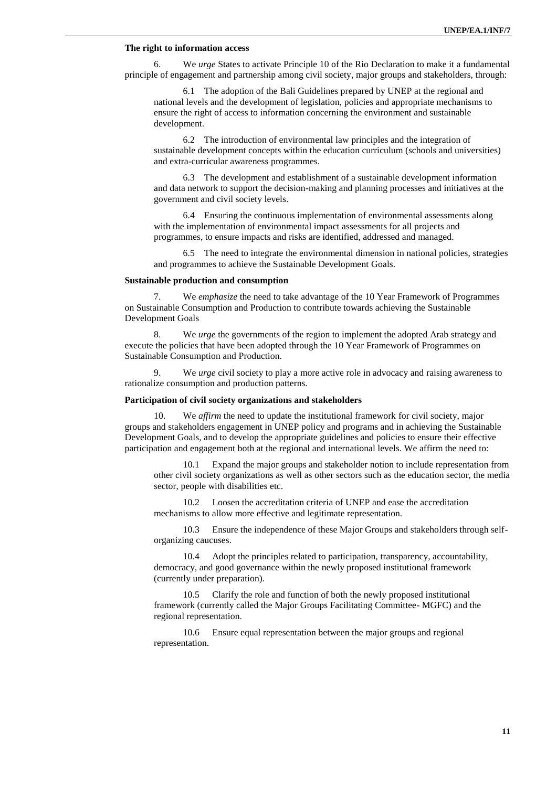## **The right to information access**

6. We *urge* States to activate Principle 10 of the Rio Declaration to make it a fundamental principle of engagement and partnership among civil society, major groups and stakeholders, through:

6.1 The adoption of the Bali Guidelines prepared by UNEP at the regional and national levels and the development of legislation, policies and appropriate mechanisms to ensure the right of access to information concerning the environment and sustainable development.

6.2 The introduction of environmental law principles and the integration of sustainable development concepts within the education curriculum (schools and universities) and extra-curricular awareness programmes.

6.3 The development and establishment of a sustainable development information and data network to support the decision-making and planning processes and initiatives at the government and civil society levels.

6.4 Ensuring the continuous implementation of environmental assessments along with the implementation of environmental impact assessments for all projects and programmes, to ensure impacts and risks are identified, addressed and managed.

6.5 The need to integrate the environmental dimension in national policies, strategies and programmes to achieve the Sustainable Development Goals.

### **Sustainable production and consumption**

7. We *emphasize* the need to take advantage of the 10 Year Framework of Programmes on Sustainable Consumption and Production to contribute towards achieving the Sustainable Development Goals

8. We *urge* the governments of the region to implement the adopted Arab strategy and execute the policies that have been adopted through the 10 Year Framework of Programmes on Sustainable Consumption and Production.

9. We *urge* civil society to play a more active role in advocacy and raising awareness to rationalize consumption and production patterns.

#### **Participation of civil society organizations and stakeholders**

10. We *affirm* the need to update the institutional framework for civil society, major groups and stakeholders engagement in UNEP policy and programs and in achieving the Sustainable Development Goals, and to develop the appropriate guidelines and policies to ensure their effective participation and engagement both at the regional and international levels. We affirm the need to:

10.1 Expand the major groups and stakeholder notion to include representation from other civil society organizations as well as other sectors such as the education sector, the media sector, people with disabilities etc.

10.2 Loosen the accreditation criteria of UNEP and ease the accreditation mechanisms to allow more effective and legitimate representation.

10.3 Ensure the independence of these Major Groups and stakeholders through selforganizing caucuses.

10.4 Adopt the principles related to participation, transparency, accountability, democracy, and good governance within the newly proposed institutional framework (currently under preparation).

10.5 Clarify the role and function of both the newly proposed institutional framework (currently called the Major Groups Facilitating Committee- MGFC) and the regional representation.

10.6 Ensure equal representation between the major groups and regional representation.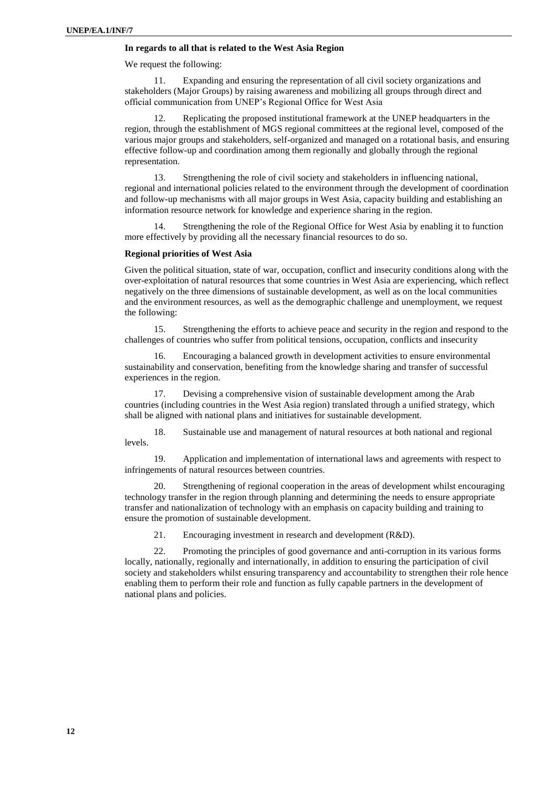## **In regards to all that is related to the West Asia Region**

We request the following:

11. Expanding and ensuring the representation of all civil society organizations and stakeholders (Major Groups) by raising awareness and mobilizing all groups through direct and official communication from UNEP's Regional Office for West Asia

Replicating the proposed institutional framework at the UNEP headquarters in the region, through the establishment of MGS regional committees at the regional level, composed of the various major groups and stakeholders, self-organized and managed on a rotational basis, and ensuring effective follow-up and coordination among them regionally and globally through the regional representation.

13. Strengthening the role of civil society and stakeholders in influencing national, regional and international policies related to the environment through the development of coordination and follow-up mechanisms with all major groups in West Asia, capacity building and establishing an information resource network for knowledge and experience sharing in the region.

Strengthening the role of the Regional Office for West Asia by enabling it to function more effectively by providing all the necessary financial resources to do so.

#### **Regional priorities of West Asia**

Given the political situation, state of war, occupation, conflict and insecurity conditions along with the over-exploitation of natural resources that some countries in West Asia are experiencing, which reflect negatively on the three dimensions of sustainable development, as well as on the local communities and the environment resources, as well as the demographic challenge and unemployment, we request the following:

15. Strengthening the efforts to achieve peace and security in the region and respond to the challenges of countries who suffer from political tensions, occupation, conflicts and insecurity

16. Encouraging a balanced growth in development activities to ensure environmental sustainability and conservation, benefiting from the knowledge sharing and transfer of successful experiences in the region.

17. Devising a comprehensive vision of sustainable development among the Arab countries (including countries in the West Asia region) translated through a unified strategy, which shall be aligned with national plans and initiatives for sustainable development.

18. Sustainable use and management of natural resources at both national and regional levels.

19. Application and implementation of international laws and agreements with respect to infringements of natural resources between countries.

20. Strengthening of regional cooperation in the areas of development whilst encouraging technology transfer in the region through planning and determining the needs to ensure appropriate transfer and nationalization of technology with an emphasis on capacity building and training to ensure the promotion of sustainable development.

21. Encouraging investment in research and development (R&D).

22. Promoting the principles of good governance and anti-corruption in its various forms locally, nationally, regionally and internationally, in addition to ensuring the participation of civil society and stakeholders whilst ensuring transparency and accountability to strengthen their role hence enabling them to perform their role and function as fully capable partners in the development of national plans and policies.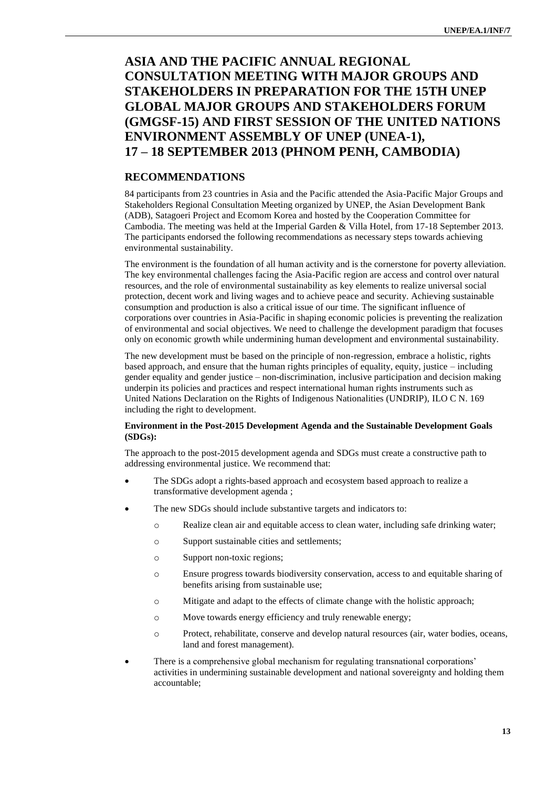# **ASIA AND THE PACIFIC ANNUAL REGIONAL CONSULTATION MEETING WITH MAJOR GROUPS AND STAKEHOLDERS IN PREPARATION FOR THE 15TH UNEP GLOBAL MAJOR GROUPS AND STAKEHOLDERS FORUM (GMGSF-15) AND FIRST SESSION OF THE UNITED NATIONS ENVIRONMENT ASSEMBLY OF UNEP (UNEA-1), 17 – 18 SEPTEMBER 2013 (PHNOM PENH, CAMBODIA)**

# **RECOMMENDATIONS**

84 participants from 23 countries in Asia and the Pacific attended the Asia-Pacific Major Groups and Stakeholders Regional Consultation Meeting organized by UNEP, the Asian Development Bank (ADB), Satagoeri Project and Ecomom Korea and hosted by the Cooperation Committee for Cambodia. The meeting was held at the Imperial Garden & Villa Hotel, from 17-18 September 2013. The participants endorsed the following recommendations as necessary steps towards achieving environmental sustainability.

The environment is the foundation of all human activity and is the cornerstone for poverty alleviation. The key environmental challenges facing the Asia-Pacific region are access and control over natural resources, and the role of environmental sustainability as key elements to realize universal social protection, decent work and living wages and to achieve peace and security. Achieving sustainable consumption and production is also a critical issue of our time. The significant influence of corporations over countries in Asia-Pacific in shaping economic policies is preventing the realization of environmental and social objectives. We need to challenge the development paradigm that focuses only on economic growth while undermining human development and environmental sustainability.

The new development must be based on the principle of non-regression, embrace a holistic, rights based approach, and ensure that the human rights principles of equality, equity, justice – including gender equality and gender justice – non-discrimination, inclusive participation and decision making underpin its policies and practices and respect international human rights instruments such as United Nations Declaration on the Rights of Indigenous Nationalities (UNDRIP), ILO C N. 169 including the right to development.

## **Environment in the Post-2015 Development Agenda and the Sustainable Development Goals (SDGs):**

The approach to the post-2015 development agenda and SDGs must create a constructive path to addressing environmental justice. We recommend that:

- The SDGs adopt a rights-based approach and ecosystem based approach to realize a transformative development agenda ;
- The new SDGs should include substantive targets and indicators to:
	- o Realize clean air and equitable access to clean water, including safe drinking water;
	- o Support sustainable cities and settlements;
	- o Support non-toxic regions;
	- o Ensure progress towards biodiversity conservation, access to and equitable sharing of benefits arising from sustainable use;
	- o Mitigate and adapt to the effects of climate change with the holistic approach;
	- o Move towards energy efficiency and truly renewable energy;
	- o Protect, rehabilitate, conserve and develop natural resources (air, water bodies, oceans, land and forest management).
- There is a comprehensive global mechanism for regulating transnational corporations' activities in undermining sustainable development and national sovereignty and holding them accountable;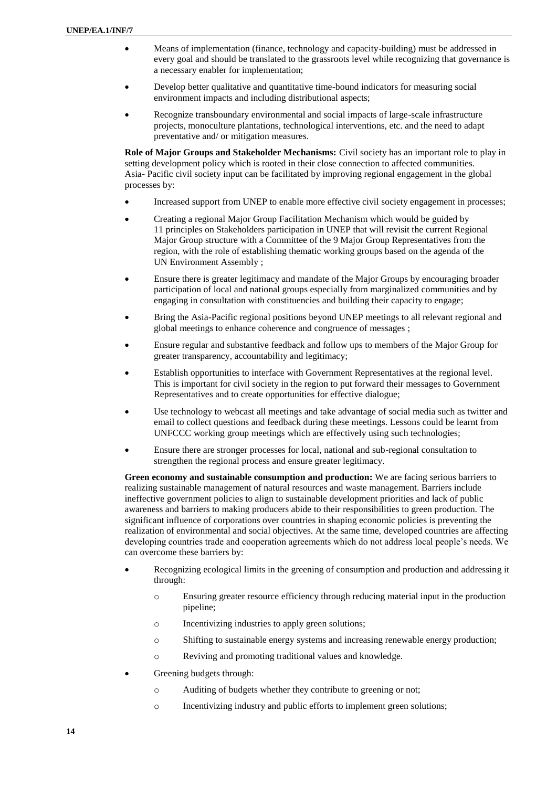- Means of implementation (finance, technology and capacity-building) must be addressed in every goal and should be translated to the grassroots level while recognizing that governance is a necessary enabler for implementation;
- Develop better qualitative and quantitative time-bound indicators for measuring social environment impacts and including distributional aspects;
- Recognize transboundary environmental and social impacts of large-scale infrastructure projects, monoculture plantations, technological interventions, etc. and the need to adapt preventative and/ or mitigation measures.

**Role of Major Groups and Stakeholder Mechanisms:** Civil society has an important role to play in setting development policy which is rooted in their close connection to affected communities. Asia- Pacific civil society input can be facilitated by improving regional engagement in the global processes by:

- Increased support from UNEP to enable more effective civil society engagement in processes;
- Creating a regional Major Group Facilitation Mechanism which would be guided by 11 principles on Stakeholders participation in UNEP that will revisit the current Regional Major Group structure with a Committee of the 9 Major Group Representatives from the region, with the role of establishing thematic working groups based on the agenda of the UN Environment Assembly ;
- Ensure there is greater legitimacy and mandate of the Major Groups by encouraging broader participation of local and national groups especially from marginalized communities and by engaging in consultation with constituencies and building their capacity to engage;
- Bring the Asia-Pacific regional positions beyond UNEP meetings to all relevant regional and global meetings to enhance coherence and congruence of messages ;
- Ensure regular and substantive feedback and follow ups to members of the Major Group for greater transparency, accountability and legitimacy;
- Establish opportunities to interface with Government Representatives at the regional level. This is important for civil society in the region to put forward their messages to Government Representatives and to create opportunities for effective dialogue;
- Use technology to webcast all meetings and take advantage of social media such as twitter and email to collect questions and feedback during these meetings. Lessons could be learnt from UNFCCC working group meetings which are effectively using such technologies;
- Ensure there are stronger processes for local, national and sub-regional consultation to strengthen the regional process and ensure greater legitimacy.

**Green economy and sustainable consumption and production:** We are facing serious barriers to realizing sustainable management of natural resources and waste management. Barriers include ineffective government policies to align to sustainable development priorities and lack of public awareness and barriers to making producers abide to their responsibilities to green production. The significant influence of corporations over countries in shaping economic policies is preventing the realization of environmental and social objectives. At the same time, developed countries are affecting developing countries trade and cooperation agreements which do not address local people's needs. We can overcome these barriers by:

- Recognizing ecological limits in the greening of consumption and production and addressing it through:
	- o Ensuring greater resource efficiency through reducing material input in the production pipeline;
	- o Incentivizing industries to apply green solutions;
	- o Shifting to sustainable energy systems and increasing renewable energy production;
	- o Reviving and promoting traditional values and knowledge.
- Greening budgets through:
	- o Auditing of budgets whether they contribute to greening or not;
	- o Incentivizing industry and public efforts to implement green solutions;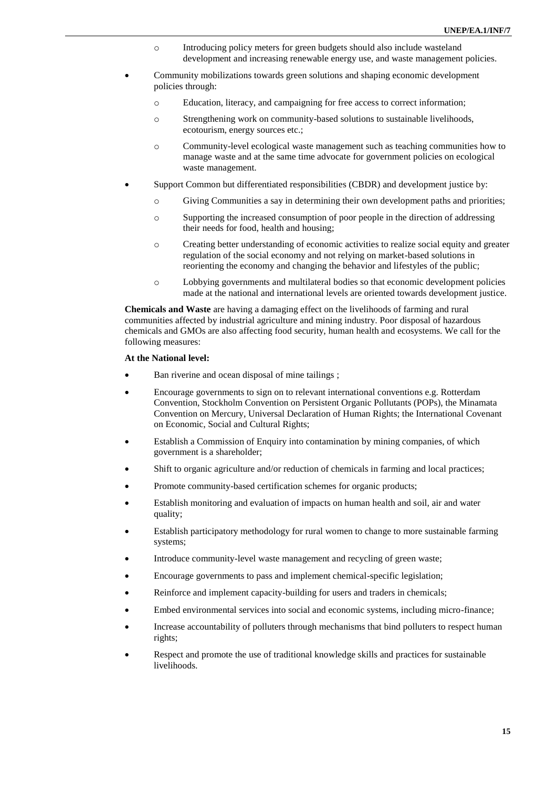- o Introducing policy meters for green budgets should also include wasteland development and increasing renewable energy use, and waste management policies.
- Community mobilizations towards green solutions and shaping economic development policies through:
	- o Education, literacy, and campaigning for free access to correct information;
	- o Strengthening work on community-based solutions to sustainable livelihoods, ecotourism, energy sources etc.;
	- o Community-level ecological waste management such as teaching communities how to manage waste and at the same time advocate for government policies on ecological waste management.
- Support Common but differentiated responsibilities (CBDR) and development justice by:
	- o Giving Communities a say in determining their own development paths and priorities;
	- o Supporting the increased consumption of poor people in the direction of addressing their needs for food, health and housing;
	- o Creating better understanding of economic activities to realize social equity and greater regulation of the social economy and not relying on market-based solutions in reorienting the economy and changing the behavior and lifestyles of the public;
	- o Lobbying governments and multilateral bodies so that economic development policies made at the national and international levels are oriented towards development justice.

**Chemicals and Waste** are having a damaging effect on the livelihoods of farming and rural communities affected by industrial agriculture and mining industry. Poor disposal of hazardous chemicals and GMOs are also affecting food security, human health and ecosystems. We call for the following measures:

#### **At the National level:**

- Ban riverine and ocean disposal of mine tailings ;
- Encourage governments to sign on to relevant international conventions e.g. Rotterdam Convention, Stockholm Convention on Persistent Organic Pollutants (POPs), the Minamata Convention on Mercury, Universal Declaration of Human Rights; the International Covenant on Economic, Social and Cultural Rights;
- Establish a Commission of Enquiry into contamination by mining companies, of which government is a shareholder;
- Shift to organic agriculture and/or reduction of chemicals in farming and local practices;
- Promote community-based certification schemes for organic products;
- Establish monitoring and evaluation of impacts on human health and soil, air and water quality;
- Establish participatory methodology for rural women to change to more sustainable farming systems;
- Introduce community-level waste management and recycling of green waste;
- Encourage governments to pass and implement chemical-specific legislation;
- Reinforce and implement capacity-building for users and traders in chemicals;
- Embed environmental services into social and economic systems, including micro-finance;
- Increase accountability of polluters through mechanisms that bind polluters to respect human rights;
- Respect and promote the use of traditional knowledge skills and practices for sustainable livelihoods.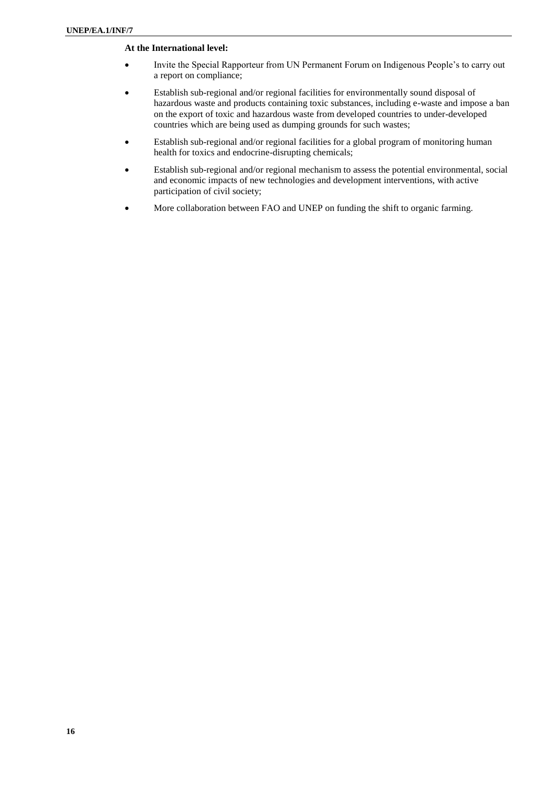## **At the International level:**

- Invite the Special Rapporteur from UN Permanent Forum on Indigenous People's to carry out a report on compliance;
- Establish sub-regional and/or regional facilities for environmentally sound disposal of hazardous waste and products containing toxic substances, including e-waste and impose a ban on the export of toxic and hazardous waste from developed countries to under-developed countries which are being used as dumping grounds for such wastes;
- Establish sub-regional and/or regional facilities for a global program of monitoring human health for toxics and endocrine-disrupting chemicals;
- Establish sub-regional and/or regional mechanism to assess the potential environmental, social and economic impacts of new technologies and development interventions, with active participation of civil society;
- More collaboration between FAO and UNEP on funding the shift to organic farming.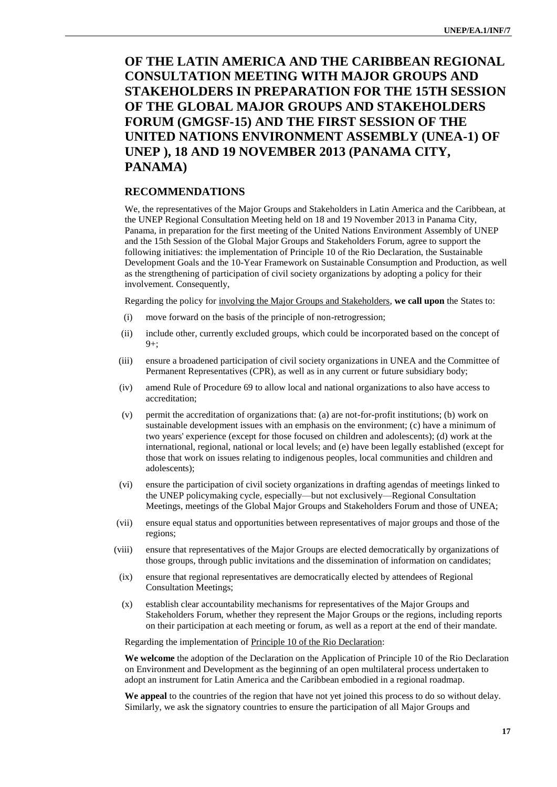# **OF THE LATIN AMERICA AND THE CARIBBEAN REGIONAL CONSULTATION MEETING WITH MAJOR GROUPS AND STAKEHOLDERS IN PREPARATION FOR THE 15TH SESSION OF THE GLOBAL MAJOR GROUPS AND STAKEHOLDERS FORUM (GMGSF-15) AND THE FIRST SESSION OF THE UNITED NATIONS ENVIRONMENT ASSEMBLY (UNEA-1) OF UNEP ), 18 AND 19 NOVEMBER 2013 (PANAMA CITY, PANAMA)**

# **RECOMMENDATIONS**

We, the representatives of the Major Groups and Stakeholders in Latin America and the Caribbean, at the UNEP Regional Consultation Meeting held on 18 and 19 November 2013 in Panama City, Panama, in preparation for the first meeting of the United Nations Environment Assembly of UNEP and the 15th Session of the Global Major Groups and Stakeholders Forum, agree to support the following initiatives: the implementation of Principle 10 of the Rio Declaration, the Sustainable Development Goals and the 10-Year Framework on Sustainable Consumption and Production, as well as the strengthening of participation of civil society organizations by adopting a policy for their involvement. Consequently,

Regarding the policy for involving the Major Groups and Stakeholders, **we call upon** the States to:

- (i) move forward on the basis of the principle of non-retrogression;
- (ii) include other, currently excluded groups, which could be incorporated based on the concept of  $9+$ :
- (iii) ensure a broadened participation of civil society organizations in UNEA and the Committee of Permanent Representatives (CPR), as well as in any current or future subsidiary body;
- (iv) amend Rule of Procedure 69 to allow local and national organizations to also have access to accreditation;
- (v) permit the accreditation of organizations that: (a) are not-for-profit institutions; (b) work on sustainable development issues with an emphasis on the environment; (c) have a minimum of two years' experience (except for those focused on children and adolescents); (d) work at the international, regional, national or local levels; and (e) have been legally established (except for those that work on issues relating to indigenous peoples, local communities and children and adolescents);
- (vi) ensure the participation of civil society organizations in drafting agendas of meetings linked to the UNEP policymaking cycle, especially—but not exclusively—Regional Consultation Meetings, meetings of the Global Major Groups and Stakeholders Forum and those of UNEA;
- (vii) ensure equal status and opportunities between representatives of major groups and those of the regions;
- (viii) ensure that representatives of the Major Groups are elected democratically by organizations of those groups, through public invitations and the dissemination of information on candidates;
- (ix) ensure that regional representatives are democratically elected by attendees of Regional Consultation Meetings;
- (x) establish clear accountability mechanisms for representatives of the Major Groups and Stakeholders Forum, whether they represent the Major Groups or the regions, including reports on their participation at each meeting or forum, as well as a report at the end of their mandate.

Regarding the implementation of Principle 10 of the Rio Declaration:

**We welcome** the adoption of the Declaration on the Application of Principle 10 of the Rio Declaration on Environment and Development as the beginning of an open multilateral process undertaken to adopt an instrument for Latin America and the Caribbean embodied in a regional roadmap.

**We appeal** to the countries of the region that have not yet joined this process to do so without delay. Similarly, we ask the signatory countries to ensure the participation of all Major Groups and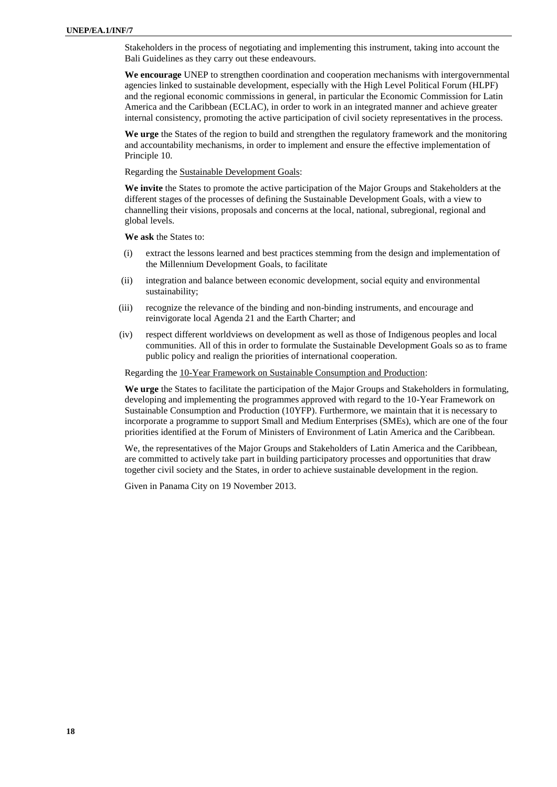Stakeholders in the process of negotiating and implementing this instrument, taking into account the Bali Guidelines as they carry out these endeavours.

**We encourage** UNEP to strengthen coordination and cooperation mechanisms with intergovernmental agencies linked to sustainable development, especially with the High Level Political Forum (HLPF) and the regional economic commissions in general, in particular the Economic Commission for Latin America and the Caribbean (ECLAC), in order to work in an integrated manner and achieve greater internal consistency, promoting the active participation of civil society representatives in the process.

**We urge** the States of the region to build and strengthen the regulatory framework and the monitoring and accountability mechanisms, in order to implement and ensure the effective implementation of Principle 10.

Regarding the Sustainable Development Goals:

**We invite** the States to promote the active participation of the Major Groups and Stakeholders at the different stages of the processes of defining the Sustainable Development Goals, with a view to channelling their visions, proposals and concerns at the local, national, subregional, regional and global levels.

**We ask** the States to:

- (i) extract the lessons learned and best practices stemming from the design and implementation of the Millennium Development Goals, to facilitate
- (ii) integration and balance between economic development, social equity and environmental sustainability;
- (iii) recognize the relevance of the binding and non-binding instruments, and encourage and reinvigorate local Agenda 21 and the Earth Charter; and
- (iv) respect different worldviews on development as well as those of Indigenous peoples and local communities. All of this in order to formulate the Sustainable Development Goals so as to frame public policy and realign the priorities of international cooperation.

Regarding the 10-Year Framework on Sustainable Consumption and Production:

**We urge** the States to facilitate the participation of the Major Groups and Stakeholders in formulating, developing and implementing the programmes approved with regard to the 10-Year Framework on Sustainable Consumption and Production (10YFP). Furthermore, we maintain that it is necessary to incorporate a programme to support Small and Medium Enterprises (SMEs), which are one of the four priorities identified at the Forum of Ministers of Environment of Latin America and the Caribbean.

We, the representatives of the Major Groups and Stakeholders of Latin America and the Caribbean, are committed to actively take part in building participatory processes and opportunities that draw together civil society and the States, in order to achieve sustainable development in the region.

Given in Panama City on 19 November 2013.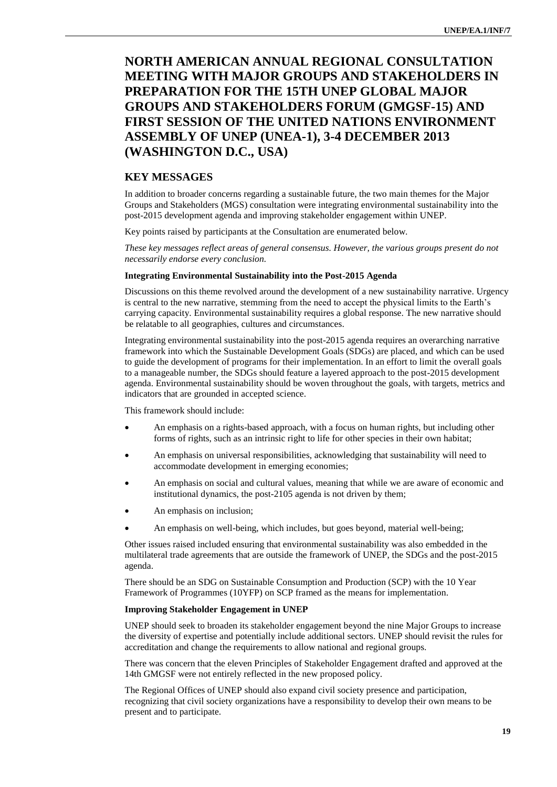# **NORTH AMERICAN ANNUAL REGIONAL CONSULTATION MEETING WITH MAJOR GROUPS AND STAKEHOLDERS IN PREPARATION FOR THE 15TH UNEP GLOBAL MAJOR GROUPS AND STAKEHOLDERS FORUM (GMGSF-15) AND FIRST SESSION OF THE UNITED NATIONS ENVIRONMENT ASSEMBLY OF UNEP (UNEA-1), 3-4 DECEMBER 2013 (WASHINGTON D.C., USA)**

# **KEY MESSAGES**

In addition to broader concerns regarding a sustainable future, the two main themes for the Major Groups and Stakeholders (MGS) consultation were integrating environmental sustainability into the post-2015 development agenda and improving stakeholder engagement within UNEP.

Key points raised by participants at the Consultation are enumerated below.

*These key messages reflect areas of general consensus. However, the various groups present do not necessarily endorse every conclusion.*

#### **Integrating Environmental Sustainability into the Post-2015 Agenda**

Discussions on this theme revolved around the development of a new sustainability narrative. Urgency is central to the new narrative, stemming from the need to accept the physical limits to the Earth's carrying capacity. Environmental sustainability requires a global response. The new narrative should be relatable to all geographies, cultures and circumstances.

Integrating environmental sustainability into the post-2015 agenda requires an overarching narrative framework into which the Sustainable Development Goals (SDGs) are placed, and which can be used to guide the development of programs for their implementation. In an effort to limit the overall goals to a manageable number, the SDGs should feature a layered approach to the post-2015 development agenda. Environmental sustainability should be woven throughout the goals, with targets, metrics and indicators that are grounded in accepted science.

This framework should include:

- An emphasis on a rights-based approach, with a focus on human rights, but including other forms of rights, such as an intrinsic right to life for other species in their own habitat;
- An emphasis on universal responsibilities, acknowledging that sustainability will need to accommodate development in emerging economies;
- An emphasis on social and cultural values, meaning that while we are aware of economic and institutional dynamics, the post-2105 agenda is not driven by them;
- An emphasis on inclusion;
- An emphasis on well-being, which includes, but goes beyond, material well-being;

Other issues raised included ensuring that environmental sustainability was also embedded in the multilateral trade agreements that are outside the framework of UNEP, the SDGs and the post-2015 agenda.

There should be an SDG on Sustainable Consumption and Production (SCP) with the 10 Year Framework of Programmes (10YFP) on SCP framed as the means for implementation.

#### **Improving Stakeholder Engagement in UNEP**

UNEP should seek to broaden its stakeholder engagement beyond the nine Major Groups to increase the diversity of expertise and potentially include additional sectors. UNEP should revisit the rules for accreditation and change the requirements to allow national and regional groups.

There was concern that the eleven Principles of Stakeholder Engagement drafted and approved at the 14th GMGSF were not entirely reflected in the new proposed policy.

The Regional Offices of UNEP should also expand civil society presence and participation, recognizing that civil society organizations have a responsibility to develop their own means to be present and to participate.